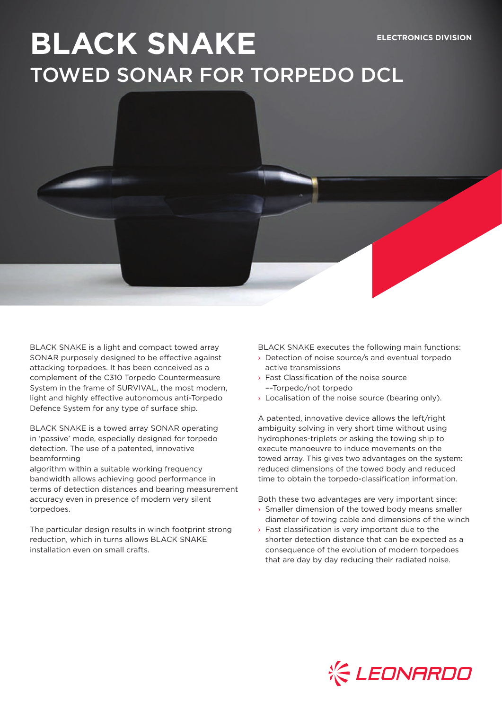# **BLACK SNAKE ELECTRONICS DIVISION** TOWED SONAR FOR TORPEDO DCL

BLACK SNAKE is a light and compact towed array SONAR purposely designed to be effective against attacking torpedoes. It has been conceived as a complement of the C310 Torpedo Countermeasure System in the frame of SURVIVAL, the most modern, light and highly effective autonomous anti-Torpedo Defence System for any type of surface ship.

BLACK SNAKE is a towed array SONAR operating in 'passive' mode, especially designed for torpedo detection. The use of a patented, innovative beamforming

algorithm within a suitable working frequency bandwidth allows achieving good performance in terms of detection distances and bearing measurement accuracy even in presence of modern very silent torpedoes.

The particular design results in winch footprint strong reduction, which in turns allows BLACK SNAKE installation even on small crafts.

BLACK SNAKE executes the following main functions:

- › Detection of noise source/s and eventual torpedo active transmissions
- › Fast Classification of the noise source ––Torpedo/not torpedo
- $\rightarrow$  Localisation of the noise source (bearing only).

A patented, innovative device allows the left/right ambiguity solving in very short time without using hydrophones-triplets or asking the towing ship to execute manoeuvre to induce movements on the towed array. This gives two advantages on the system: reduced dimensions of the towed body and reduced time to obtain the torpedo-classification information.

Both these two advantages are very important since:

- › Smaller dimension of the towed body means smaller diameter of towing cable and dimensions of the winch
- $\rightarrow$  Fast classification is very important due to the shorter detection distance that can be expected as a consequence of the evolution of modern torpedoes that are day by day reducing their radiated noise.